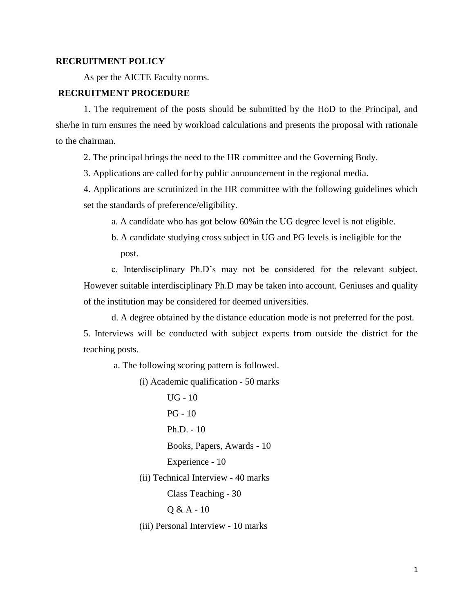## **RECRUITMENT POLICY**

As per the AICTE Faculty norms.

## **RECRUITMENT PROCEDURE**

1. The requirement of the posts should be submitted by the HoD to the Principal, and she/he in turn ensures the need by workload calculations and presents the proposal with rationale to the chairman.

2. The principal brings the need to the HR committee and the Governing Body.

3. Applications are called for by public announcement in the regional media.

4. Applications are scrutinized in the HR committee with the following guidelines which set the standards of preference/eligibility.

a. A candidate who has got below 60%in the UG degree level is not eligible.

b. A candidate studying cross subject in UG and PG levels is ineligible for the post.

c. Interdisciplinary Ph.D's may not be considered for the relevant subject. However suitable interdisciplinary Ph.D may be taken into account. Geniuses and quality of the institution may be considered for deemed universities.

d. A degree obtained by the distance education mode is not preferred for the post.

5. Interviews will be conducted with subject experts from outside the district for the teaching posts.

a. The following scoring pattern is followed.

(i) Academic qualification - 50 marks

UG - 10 PG - 10 Ph.D. - 10 Books, Papers, Awards - 10 Experience - 10 (ii) Technical Interview - 40 marks Class Teaching - 30 Q & A - 10 (iii) Personal Interview - 10 marks